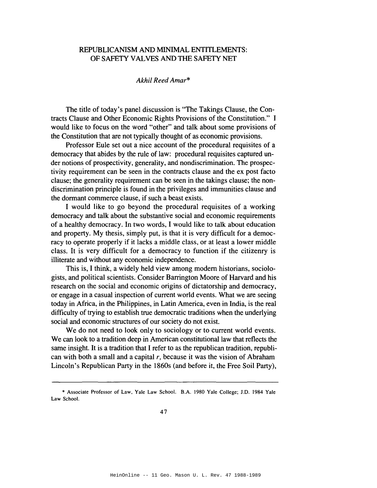## REPUBLICANISM AND MINIMAL ENTITLEMENTS: OF SAFETY VALYES AND THE SAFETY NET

## *Akhil Reed Amar\**

The title of today's panel discussion is "The Takings Clause, the Contracts Clause and Other Economic Rights Provisions of the Constitution." I would like to focus on the word "other" and talk about some provisions of the Constitution that are not typically thought of as economic provisions.

Professor Eule set out a nice account of the procedural requisites of a democracy that abides by the rule of law: procedural requisites captured under notions of prospectivity, generality, and nondiscrimination. The prospectivity requirement can be seen in the contracts clause and the ex post facto clause; the generality requirement can be seen in the takings clause; the nondiscrimination principle is found in the privileges and immunities clause and the dormant commerce clause, if such a beast exists.

I would like to go beyond the procedural requisites of a working democracy and talk about the substantive social and economic requirements of a healthy democracy. In two words, I would like to talk about education and property. My thesis, simply put, is that it is very difficult for a democracy to operate properly if it lacks a middle class, or at least a lower middle class. It is very difficult for a democracy to function if the citizenry is illiterate and without any economic independence.

This is, I think, a widely held view among modem historians, sociologists, and political scientists. Consider Barrington Moore of Harvard and his research on the social and economic origins of dictatorship and democracy, or engage in a casual inspection of current world events. What we are seeing today in Africa, in the Philippines, in Latin America, even in India, is the real difficulty of trying to establish true democratic traditions when the underlying social and economic structures of our society do not exist.

We do not need to look only to sociology or to current world events. We can look to a tradition deep in American constitutional law that reflects the same insight. It is a tradition that I refer to as the republican tradition, republican with both a small and a capital *r,* because it was the vision of Abraham Lincoln's Republican Party in the 1860s (and before it, the Free Soil Party),

<sup>\*</sup> Associate Professor of Law, Yale Law School. B.A. 1980 Yale College; J.D. 1984 Yale Law School.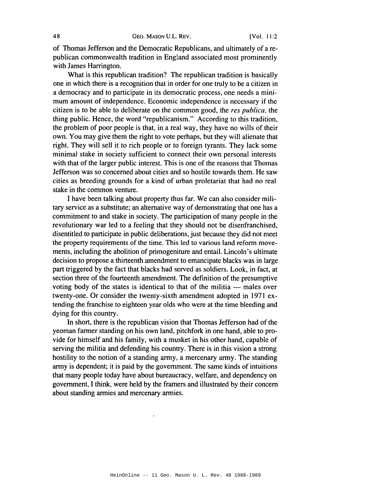of Thomas Jefferson and the Democratic Republicans, and ultimately of a republican commonwealth tradition in England associated most prominently with James Harrington.

What is this republican tradition? The republican tradition is basically one in which there is a recognition that in order for one truly to be a citizen in a democracy and to participate in its democratic process, one needs a minimum amount of independence. Economic independence is necessary if the citizen is to be able to deliberate on the common good, the *res publica,* the thing public. Hence, the word "republicanism." According to this tradition, the problem of poor people is that, in a real way, they have no wills of their own. You may give them the right to vote perhaps, but they will alienate that right. They will sell it to rich people or to foreign tyrants. They lack some minimal stake in society sufficient to connect their own personal interests with that of the larger public interest. This is one of the reasons that Thomas Jefferson was so concerned about cities and so hostile towards them. He saw cities as breeding grounds for a kind of urban proletariat that had no real stake in the common venture.

I have been talking about property thus far. We can also consider military service as a substitute; an alternative way of demonstrating that one has a commitment to and stake in society. The participation of many people in the revolutionary war led to a feeling that they should not be disenfranchised, disentitled to participate in public deliberations, just because they did not meet the property requirements of the time. This led to various land reform movements, including the abolition of primogeniture and entail. Lincoln's ultimate decision to propose a thirteenth amendment to emancipate blacks was in large part triggered by the fact that blacks had served as soldiers. Look, in fact, at section three of the fourteenth amendment. The definition of the presumptive voting body of the states is identical to that of the militia  $-$  males over twenty-one. Or consider the twenty-sixth amendment adopted in 1971 extending the franchise to eighteen year olds who were at the time bleeding and dying for this country.

In short, there is the republican vision that Thomas Jefferson had of the yeoman farmer standing on his own land, pitchfork in one hand, able to provide for himself and his family, with a musket in his other hand, capable of serving the militia and defending his country. There is in this vision a strong hostility to the notion of a standing army, a mercenary army. The standing army is dependent; it is paid by the government. The same kinds of intuitions that many people today have about bureaucracy, welfare, and dependency on government, I think, were held by the framers and illustrated by their concern about standing armies and mercenary armies.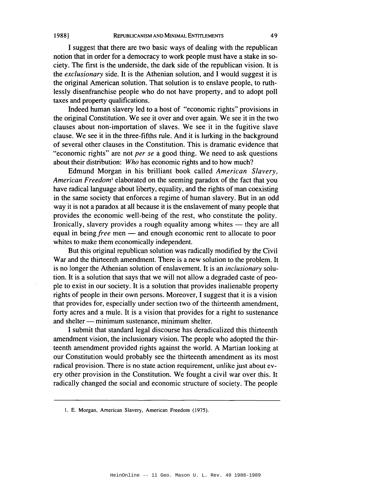I suggest that there are two basic ways of dealing with the republican notion that in order for a democracy to work people must have a stake in society. The first is the underside, the dark side of the republican vision. It is the *exclusionary* side. It is the Athenian solution, and I would suggest it is the original American solution. That solution is to enslave people, to ruthlessly disenfranchise people who do not have property, and to adopt poll taxes and property qualifications.

Indeed human slavery led to a host of "economic rights" provisions in the original Constitution. We see it over and over again. We see it in the two clauses about non-importation of slaves. We see it in the fugitive slave clause. We see it in the three-fifths rule. And it is lurking in the background of several other clauses in the Constitution. This is dramatic evidence that "economic rights" are not *per se* a good thing. We need to ask questions about their distribution: *Who* has economic rights and to how much?

Edmund Morgan in his brilliant book called *American Slavery, American Freedom*<sup>l</sup> elaborated on the seeming paradox of the fact that you have radical language about liberty, equality, and the rights of man coexisting in the same society that enforces a regime of human slavery. But in an odd way it is not a paradox at all because it is the enslavement of many people that provides the economic well-being of the rest, who constitute the polity. Ironically, slavery provides a rough equality among whites — they are all equal in being *free* men - and enough economic rent to allocate to poor whites to make them economically independent.

But this original republican solution was radically modified by the Civil War and the thirteenth amendment. There is a new solution to the problem. It is no longer the Athenian solution of enslavement. It is an *inclusionary* solution. It is a solution that says that we will not allow a degraded caste of people to exist in our society. It is a solution that provides inalienable property rights of people in their own persons. Moreover, I suggest that it is a vision that provides for, especially under section two of the thirteenth amendment, forty acres and a mule. It is a vision that provides for a right to sustenance and shelter - minimum sustenance, minimum shelter.

I submit that standard legal discourse has deradicalized this thirteenth amendment vision, the inclusionary vision. The people who adopted the thirteenth amendment provided rights against the world. A Martian looking at our Constitution would probably see the thirteenth amendment as its most radical provision. There is no state action requirement, unlike just about every other provision in the Constitution. We fought a civil war over this. It radically changed the social and economic structure of society. The people

I. E. Morgan, American Slavery, American Freedom (1975).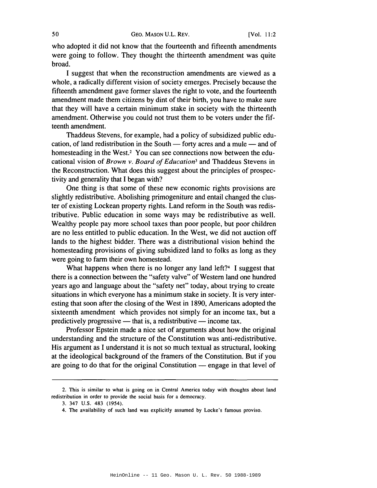who adopted it did not know that the fourteenth and fifteenth amendments were going to follow. They thought the thirteenth amendment was quite broad.

I suggest that when the reconstruction amendments are viewed as a whole, a radically different vision of society emerges. Precisely because the fifteenth amendment gave former slaves the right to vote, and the fourteenth amendment made them citizens by dint of their birth, you have to make sure that they will have a certain minimum stake in society with the thirteenth amendment. Otherwise you could not trust them to be voters under the fifteenth amendment.

Thaddeus Stevens, for example, had a policy of subsidized public education, of land redistribution in the South  $-$  forty acres and a mule  $-$  and of homesteading in the West.<sup>2</sup> You can see connections now between the educational vision of *Brown v. Board of Education<sup>3</sup>* and Thaddeus Stevens in the Reconstruction. What does this suggest about the principles of prospectivity and generality that I began with?

One thing is that some of these new economic rights provisions are slightly redistributive. Abolishing primogeniture and entail changed the cluster of existing Lockean property rights. Land reform in the South was redistributive. Public education in some ways may be redistributive as well. Wealthy people pay more school taxes than poor people, but poor children are no less entitled to public education. In the West, we did not auction off lands to the highest bidder. There was a distributional vision behind the homesteading provisions of giving subsidized land to folks as long as they were going to farm their own homestead.

What happens when there is no longer any land left?<sup>4</sup> I suggest that there is a connection between the "safety valve" of Western land one hundred years ago and language about the "safety net" today, about trying to create situations in which everyone has a minimum stake in society. It is very interesting that soon after the closing of the West in 1890, Americans adopted the sixteenth amendment which provides not simply for an income tax, but a predictively progressive  $-$  that is, a redistributive  $-$  income tax.

Professor Epstein made a nice set of arguments about how the original understanding and the structure of the Constitution was anti-redistributive. His argument as I understand it is not so much textual as structural, looking at the ideological background of the framers of the Constitution. But if you are going to do that for the original Constitution  $-$  engage in that level of

<sup>2.</sup> This is similar to what is going on in Central America today with thoughts about land redistribution in order to provide the social basis for a democracy.

<sup>3.</sup> 347 U.S. 483 (1954).

<sup>4.</sup> The availability of such land was explicitly assumed by Locke's famous proviso.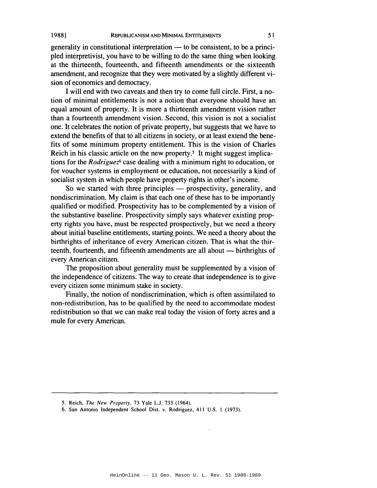generality in constitutional interpretation — to be consistent, to be a principled interpretivist, you have to be willing to do the same thing when looking at the thirteenth, fourteenth, and fifteenth amendments or the sixteenth amendment, and recognize that they were motivated by a slightly different vision of economics and democracy.

I will end with two caveats and then try to come full circle. First, a notion of minimal entitlements is not a notion that everyone should have an equal amount of property. It is more a thirteenth amendment vision rather than a fourteenth amendment vision. Second, this vision is not a socialist one. It celebrates the notion of private property, but suggests that we have to extend the benefits of that to all citizens in society, or at least extend the benefits of some minimum property entitlement. This is the vision of Charles Reich in his classic article on the new property.<sup>5</sup> It might suggest implications for the *Rodriguez6* case dealing with a minimum right to education, or for voucher systems in employment or education, not necessarily a kind of socialist system in which people have property rights in other's income.

So we started with three principles - prospectivity, generality, and nondiscrimination. My claim is that each one of these has to be importantly qualified or modified. Prospectivity has to be complemented by a vision of the substantive baseline. Prospectivity simply says whatever existing property rights you have, must be respected prospectively, but we need a theory about initial baseline entitlements, starting points. We need a theory about the birthrights of inheritance of every American citizen. That is what the thirteenth, fourteenth, and fifteenth amendments are all about - birthrights of every American citizen.

The proposition about generality must be supplemented by a vision of the independence of citizens. The way to create that independence is to give every citizen some minimum stake in society.

Finally, the notion of nondiscrimination, which is often assimilated to non-redistribution, has to be qualified by the need to accommodate modest redistribution so that we can make real today the vision of forty acres and a mule for every American.

<sup>5.</sup> Reich, *The New Property.* 73 Yale LJ. 733 (1964).

<sup>6.</sup> San Antonio Independent School Dist. v. Rodriguez, 411 U.S. 1 (1973).